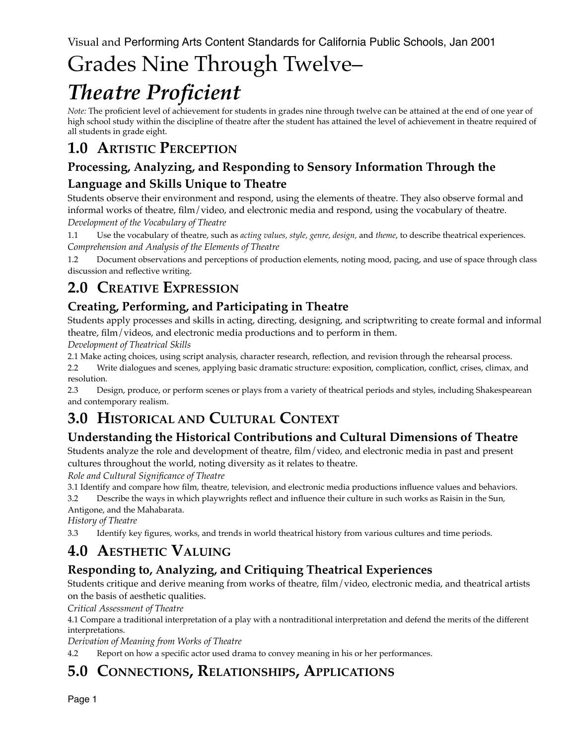# Grades Nine Through Twelve–

## *Theatre Proficient*

*Note:* The proficient level of achievement for students in grades nine through twelve can be attained at the end of one year of high school study within the discipline of theatre after the student has attained the level of achievement in theatre required of all students in grade eight.

## **1.0 ARTISTIC PERCEPTION**

#### **Processing, Analyzing, and Responding to Sensory Information Through the Language and Skills Unique to Theatre**

Students observe their environment and respond, using the elements of theatre. They also observe formal and informal works of theatre, film/video, and electronic media and respond, using the vocabulary of theatre. *Development of the Vocabulary of Theatre* 

1.1 Use the vocabulary of theatre, such as *acting values, style, genre, design,* and *theme*, to describe theatrical experiences. *Comprehension and Analysis of the Elements of Theatre* 

1.2 Document observations and perceptions of production elements, noting mood, pacing, and use of space through class

discussion and reflective writing.

## **2.0 CREATIVE EXPRESSION**

#### **Creating, Performing, and Participating in Theatre**

Students apply processes and skills in acting, directing, designing, and scriptwriting to create formal and informal theatre, film/videos, and electronic media productions and to perform in them.

*Development of Theatrical Skills* 

2.1 Make acting choices, using script analysis, character research, reflection, and revision through the rehearsal process.

2.2 Write dialogues and scenes, applying basic dramatic structure: exposition, complication, conflict, crises, climax, and resolution.

2.3 Design, produce, or perform scenes or plays from a variety of theatrical periods and styles, including Shakespearean and contemporary realism.

## **3.0 HISTORICAL AND CULTURAL CONTEXT**

#### **Understanding the Historical Contributions and Cultural Dimensions of Theatre**

Students analyze the role and development of theatre, film/video, and electronic media in past and present cultures throughout the world, noting diversity as it relates to theatre.

*Role and Cultural Significance of Theatre* 

3.1 Identify and compare how film, theatre, television, and electronic media productions influence values and behaviors.

3.2 Describe the ways in which playwrights reflect and influence their culture in such works as Raisin in the Sun, Antigone, and the Mahabarata.

*History of Theatre* 

3.3 Identify key figures, works, and trends in world theatrical history from various cultures and time periods.

## **4.0 AESTHETIC VALUING**

#### **Responding to, Analyzing, and Critiquing Theatrical Experiences**

Students critique and derive meaning from works of theatre, film/video, electronic media, and theatrical artists on the basis of aesthetic qualities.

*Critical Assessment of Theatre* 

4.1 Compare a traditional interpretation of a play with a nontraditional interpretation and defend the merits of the different interpretations.

*Derivation of Meaning from Works of Theatre* 

4.2 Report on how a specific actor used drama to convey meaning in his or her performances.

## **5.0 CONNECTIONS, RELATIONSHIPS, APPLICATIONS**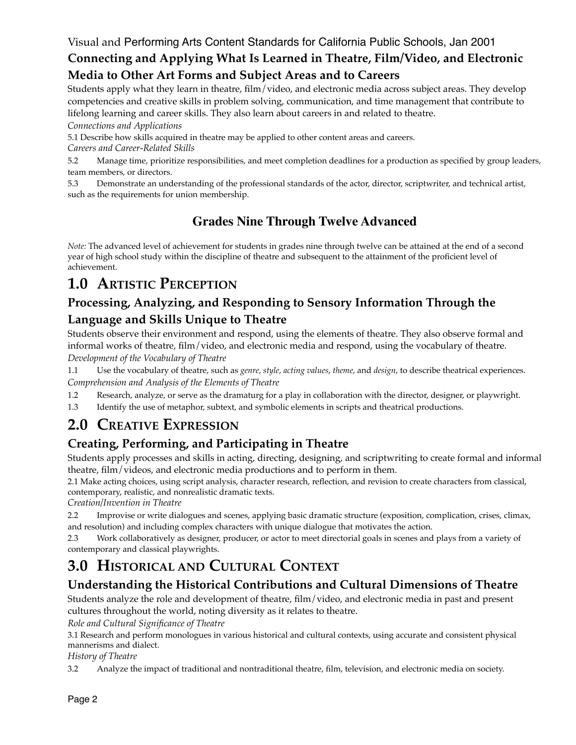#### Visual and Performing Arts Content Standards for California Public Schools, Jan 2001

#### **Connecting and Applying What Is Learned in Theatre, Film/Video, and Electronic Media to Other Art Forms and Subject Areas and to Careers**

Students apply what they learn in theatre, film/video, and electronic media across subject areas. They develop competencies and creative skills in problem solving, communication, and time management that contribute to lifelong learning and career skills. They also learn about careers in and related to theatre.

*Connections and Applications* 

5.1 Describe how skills acquired in theatre may be applied to other content areas and careers. *Careers and Career-Related Skills* 

5.2 Manage time, prioritize responsibilities, and meet completion deadlines for a production as specified by group leaders, team members, or directors.

5.3 Demonstrate an understanding of the professional standards of the actor, director, scriptwriter, and technical artist, such as the requirements for union membership.

#### **Grades Nine Through Twelve Advanced**

*Note:* The advanced level of achievement for students in grades nine through twelve can be attained at the end of a second year of high school study within the discipline of theatre and subsequent to the attainment of the proficient level of achievement.

### **1.0 ARTISTIC PERCEPTION**

#### **Processing, Analyzing, and Responding to Sensory Information Through the Language and Skills Unique to Theatre**

Students observe their environment and respond, using the elements of theatre. They also observe formal and informal works of theatre, film/video, and electronic media and respond, using the vocabulary of theatre. *Development of the Vocabulary of Theatre* 

1.1 Use the vocabulary of theatre, such as *genre*, *style*, *acting values*, *theme*, and *design*, to describe theatrical experiences. *Comprehension and Analysis of the Elements of Theatre* 

- 1.2 Research, analyze, or serve as the dramaturg for a play in collaboration with the director, designer, or playwright.
- 1.3 Identify the use of metaphor, subtext, and symbolic elements in scripts and theatrical productions.

## **2.0 CREATIVE EXPRESSION**

#### **Creating, Performing, and Participating in Theatre**

Students apply processes and skills in acting, directing, designing, and scriptwriting to create formal and informal theatre, film/videos, and electronic media productions and to perform in them.

2.1 Make acting choices, using script analysis, character research, reflection, and revision to create characters from classical, contemporary, realistic, and nonrealistic dramatic texts.

*Creation/Invention in Theatre* 

2.2 Improvise or write dialogues and scenes, applying basic dramatic structure (exposition, complication, crises, climax, and resolution) and including complex characters with unique dialogue that motivates the action.

2.3 Work collaboratively as designer, producer, or actor to meet directorial goals in scenes and plays from a variety of contemporary and classical playwrights.

## **3.0 HISTORICAL AND CULTURAL CONTEXT**

#### **Understanding the Historical Contributions and Cultural Dimensions of Theatre**

Students analyze the role and development of theatre, film/video, and electronic media in past and present cultures throughout the world, noting diversity as it relates to theatre.

*Role and Cultural Significance of Theatre* 

3.1 Research and perform monologues in various historical and cultural contexts, using accurate and consistent physical mannerisms and dialect.

*History of Theatre* 

3.2 Analyze the impact of traditional and nontraditional theatre, film, television, and electronic media on society.